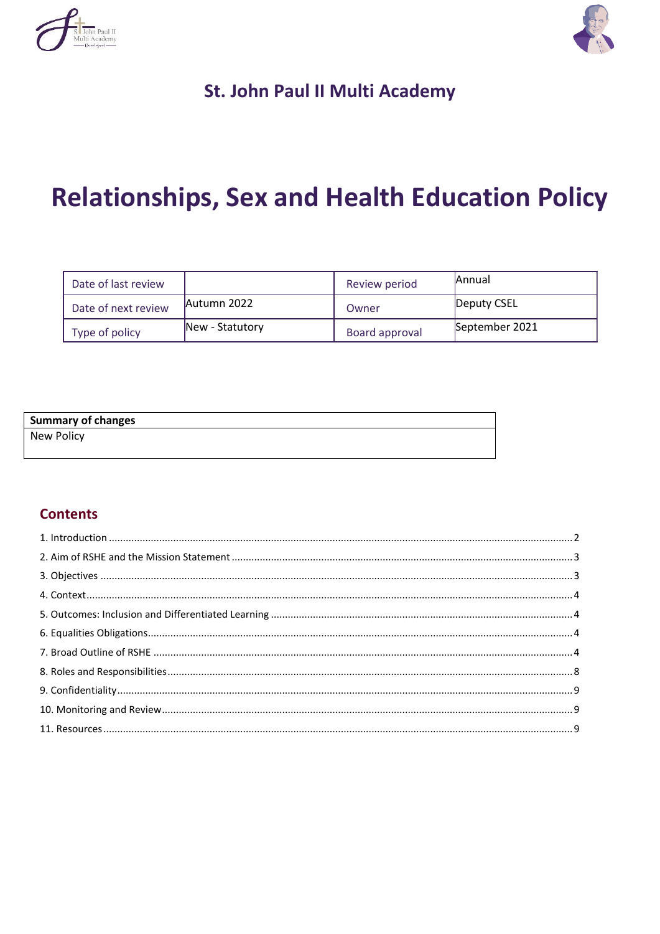



# St. John Paul II Multi Academy

# **Relationships, Sex and Health Education Policy**

| Date of last review |                 | Review period  | <b>Annual</b>  |
|---------------------|-----------------|----------------|----------------|
| Date of next review | Autumn 2022     | Owner          | Deputy CSEL    |
| Type of policy      | New - Statutory | Board approval | September 2021 |

### **Summary of changes**

New Policy

# **Contents**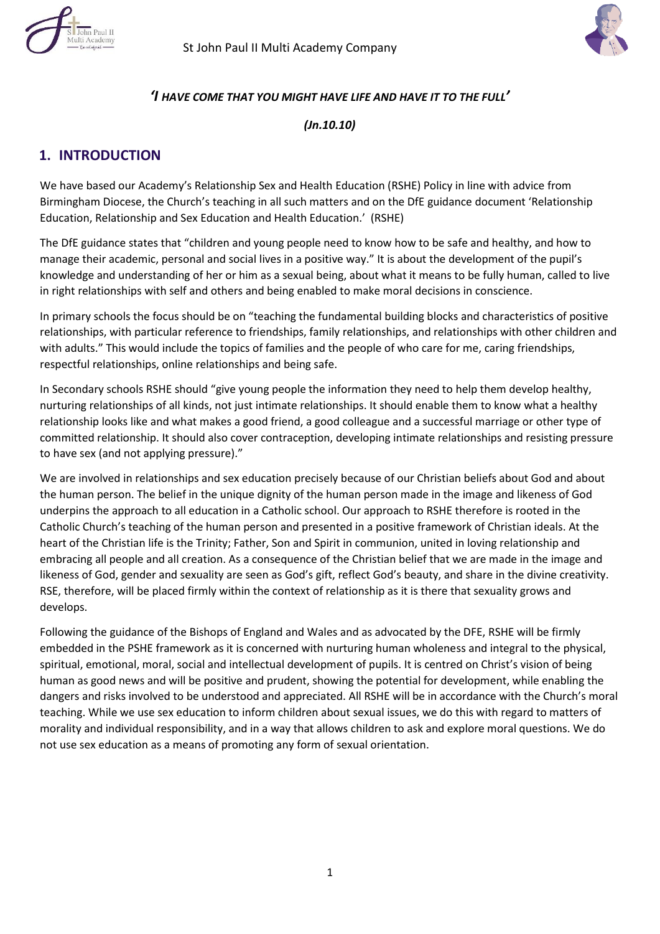



#### *'I HAVE COME THAT YOU MIGHT HAVE LIFE AND HAVE IT TO THE FULL'*

*(Jn.10.10)* 

### **1. INTRODUCTION**

We have based our Academy's Relationship Sex and Health Education (RSHE) Policy in line with advice from Birmingham Diocese, the Church's teaching in all such matters and on the DfE guidance document 'Relationship Education, Relationship and Sex Education and Health Education.' (RSHE)

The DfE guidance states that "children and young people need to know how to be safe and healthy, and how to manage their academic, personal and social lives in a positive way." It is about the development of the pupil's knowledge and understanding of her or him as a sexual being, about what it means to be fully human, called to live in right relationships with self and others and being enabled to make moral decisions in conscience.

In primary schools the focus should be on "teaching the fundamental building blocks and characteristics of positive relationships, with particular reference to friendships, family relationships, and relationships with other children and with adults." This would include the topics of families and the people of who care for me, caring friendships, respectful relationships, online relationships and being safe.

In Secondary schools RSHE should "give young people the information they need to help them develop healthy, nurturing relationships of all kinds, not just intimate relationships. It should enable them to know what a healthy relationship looks like and what makes a good friend, a good colleague and a successful marriage or other type of committed relationship. It should also cover contraception, developing intimate relationships and resisting pressure to have sex (and not applying pressure)."

We are involved in relationships and sex education precisely because of our Christian beliefs about God and about the human person. The belief in the unique dignity of the human person made in the image and likeness of God underpins the approach to all education in a Catholic school. Our approach to RSHE therefore is rooted in the Catholic Church's teaching of the human person and presented in a positive framework of Christian ideals. At the heart of the Christian life is the Trinity; Father, Son and Spirit in communion, united in loving relationship and embracing all people and all creation. As a consequence of the Christian belief that we are made in the image and likeness of God, gender and sexuality are seen as God's gift, reflect God's beauty, and share in the divine creativity. RSE, therefore, will be placed firmly within the context of relationship as it is there that sexuality grows and develops.

Following the guidance of the Bishops of England and Wales and as advocated by the DFE, RSHE will be firmly embedded in the PSHE framework as it is concerned with nurturing human wholeness and integral to the physical, spiritual, emotional, moral, social and intellectual development of pupils. It is centred on Christ's vision of being human as good news and will be positive and prudent, showing the potential for development, while enabling the dangers and risks involved to be understood and appreciated. All RSHE will be in accordance with the Church's moral teaching. While we use sex education to inform children about sexual issues, we do this with regard to matters of morality and individual responsibility, and in a way that allows children to ask and explore moral questions. We do not use sex education as a means of promoting any form of sexual orientation.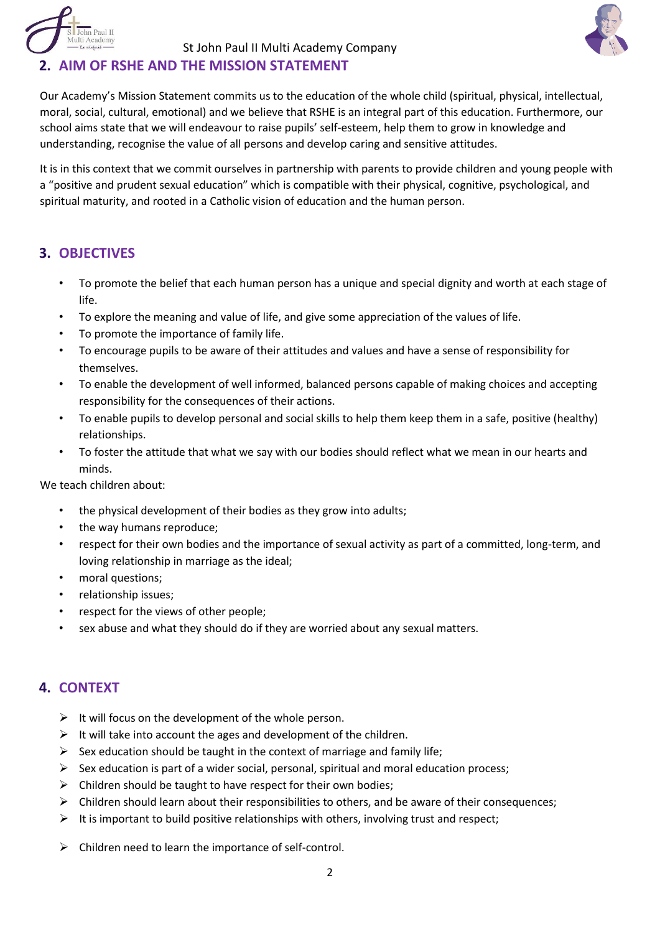

# **2. AIM OF RSHE AND THE MISSION STATEMENT**

Our Academy's Mission Statement commits us to the education of the whole child (spiritual, physical, intellectual, moral, social, cultural, emotional) and we believe that RSHE is an integral part of this education. Furthermore, our school aims state that we will endeavour to raise pupils' self-esteem, help them to grow in knowledge and understanding, recognise the value of all persons and develop caring and sensitive attitudes.

It is in this context that we commit ourselves in partnership with parents to provide children and young people with a "positive and prudent sexual education" which is compatible with their physical, cognitive, psychological, and spiritual maturity, and rooted in a Catholic vision of education and the human person.

# **3. OBJECTIVES**

- To promote the belief that each human person has a unique and special dignity and worth at each stage of life.
- To explore the meaning and value of life, and give some appreciation of the values of life.
- To promote the importance of family life.
- To encourage pupils to be aware of their attitudes and values and have a sense of responsibility for themselves.
- To enable the development of well informed, balanced persons capable of making choices and accepting responsibility for the consequences of their actions.
- To enable pupils to develop personal and social skills to help them keep them in a safe, positive (healthy) relationships.
- To foster the attitude that what we say with our bodies should reflect what we mean in our hearts and minds.

We teach children about:

- the physical development of their bodies as they grow into adults;
- the way humans reproduce;
- respect for their own bodies and the importance of sexual activity as part of a committed, long-term, and loving relationship in marriage as the ideal;
- moral questions;
- relationship issues;
- respect for the views of other people;
- sex abuse and what they should do if they are worried about any sexual matters.

# **4. CONTEXT**

- $\triangleright$  It will focus on the development of the whole person.
- $\triangleright$  It will take into account the ages and development of the children.
- $\triangleright$  Sex education should be taught in the context of marriage and family life;
- $\triangleright$  Sex education is part of a wider social, personal, spiritual and moral education process;
- $\triangleright$  Children should be taught to have respect for their own bodies;
- $\triangleright$  Children should learn about their responsibilities to others, and be aware of their consequences;
- $\triangleright$  It is important to build positive relationships with others, involving trust and respect;
- $\triangleright$  Children need to learn the importance of self-control.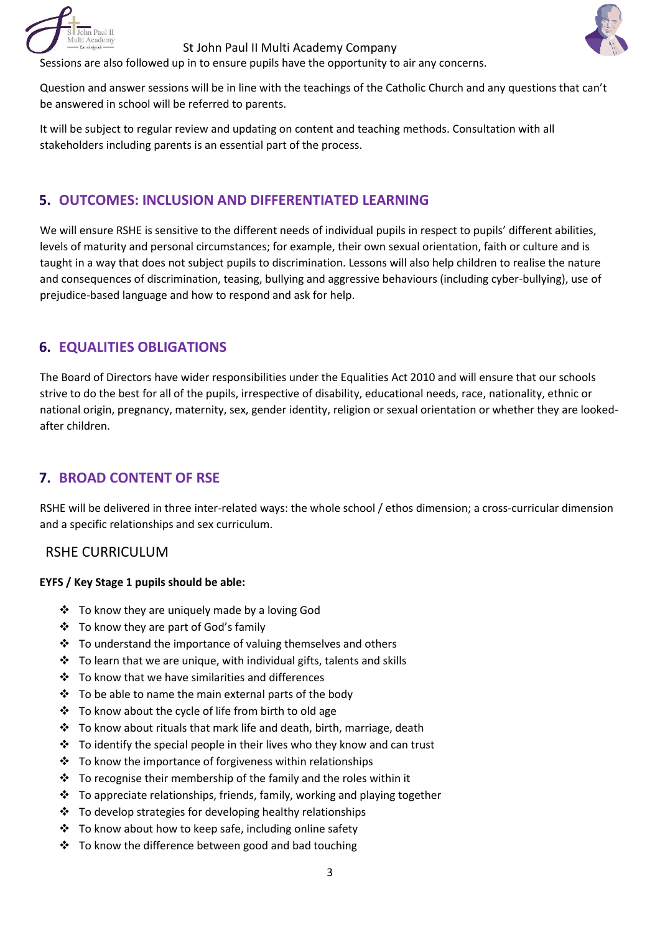



Sessions are also followed up in to ensure pupils have the opportunity to air any concerns.

Question and answer sessions will be in line with the teachings of the Catholic Church and any questions that can't be answered in school will be referred to parents.

It will be subject to regular review and updating on content and teaching methods. Consultation with all stakeholders including parents is an essential part of the process.

# **5. OUTCOMES: INCLUSION AND DIFFERENTIATED LEARNING**

We will ensure RSHE is sensitive to the different needs of individual pupils in respect to pupils' different abilities, levels of maturity and personal circumstances; for example, their own sexual orientation, faith or culture and is taught in a way that does not subject pupils to discrimination. Lessons will also help children to realise the nature and consequences of discrimination, teasing, bullying and aggressive behaviours (including cyber-bullying), use of prejudice-based language and how to respond and ask for help.

# **6. EQUALITIES OBLIGATIONS**

The Board of Directors have wider responsibilities under the Equalities Act 2010 and will ensure that our schools strive to do the best for all of the pupils, irrespective of disability, educational needs, race, nationality, ethnic or national origin, pregnancy, maternity, sex, gender identity, religion or sexual orientation or whether they are lookedafter children.

# **7. BROAD CONTENT OF RSE**

RSHE will be delivered in three inter-related ways: the whole school / ethos dimension; a cross-curricular dimension and a specific relationships and sex curriculum.

# RSHE CURRICULUM

#### **EYFS / Key Stage 1 pupils should be able:**

- To know they are uniquely made by a loving God
- To know they are part of God's family
- $\cdot$  To understand the importance of valuing themselves and others
- $\div$  To learn that we are unique, with individual gifts, talents and skills
- $\div$  To know that we have similarities and differences
- $\div$  To be able to name the main external parts of the body
- To know about the cycle of life from birth to old age
- $\cdot$  To know about rituals that mark life and death, birth, marriage, death
- $\cdot \cdot$  To identify the special people in their lives who they know and can trust
- $\cdot$  To know the importance of forgiveness within relationships
- $\cdot$  To recognise their membership of the family and the roles within it
- $\cdot$  To appreciate relationships, friends, family, working and playing together
- $\div$  To develop strategies for developing healthy relationships
- To know about how to keep safe, including online safety
- $\cdot$  To know the difference between good and bad touching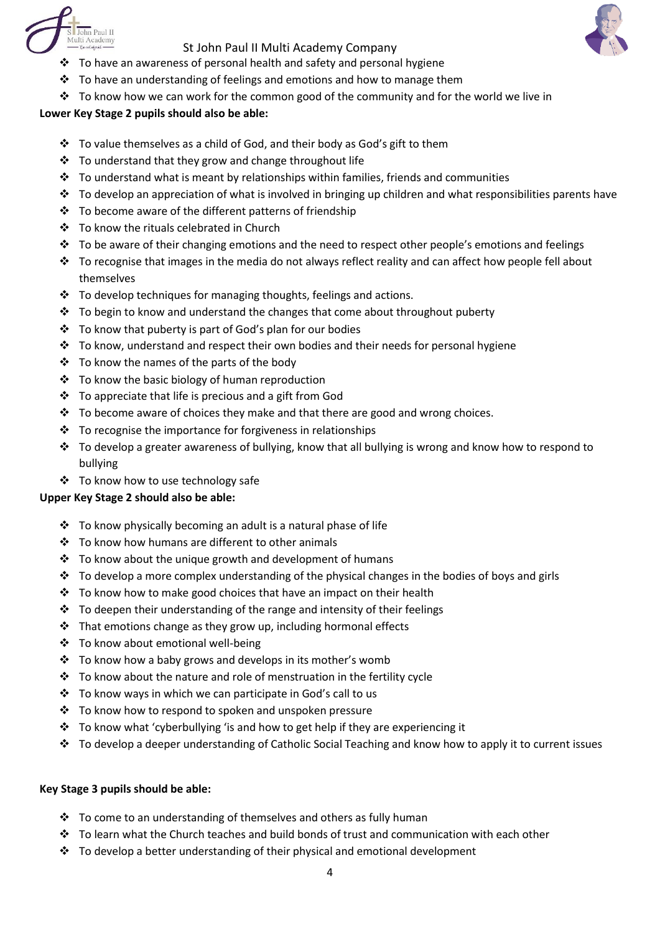



- $\cdot$  To have an awareness of personal health and safety and personal hygiene
- $\cdot \cdot$  To have an understanding of feelings and emotions and how to manage them
- $\cdot \cdot$  To know how we can work for the common good of the community and for the world we live in

#### **Lower Key Stage 2 pupils should also be able:**

- $\cdot \cdot$  To value themselves as a child of God, and their body as God's gift to them
- \* To understand that they grow and change throughout life
- $\clubsuit$  To understand what is meant by relationships within families, friends and communities
- $\cdot \cdot$  To develop an appreciation of what is involved in bringing up children and what responsibilities parents have
- To become aware of the different patterns of friendship
- To know the rituals celebrated in Church
- \* To be aware of their changing emotions and the need to respect other people's emotions and feelings
- $\cdot \cdot$  To recognise that images in the media do not always reflect reality and can affect how people fell about themselves
- $\cdot$  To develop techniques for managing thoughts, feelings and actions.
- $\cdot \cdot$  To begin to know and understand the changes that come about throughout puberty
- $\cdot$  To know that puberty is part of God's plan for our bodies
- $\cdot \cdot$  To know, understand and respect their own bodies and their needs for personal hygiene
- $\div$  To know the names of the parts of the body
- \* To know the basic biology of human reproduction
- To appreciate that life is precious and a gift from God
- $\cdot \cdot$  To become aware of choices they make and that there are good and wrong choices.
- $\cdot \cdot$  To recognise the importance for forgiveness in relationships
- $\cdot \cdot$  To develop a greater awareness of bullying, know that all bullying is wrong and know how to respond to bullying
- ❖ To know how to use technology safe

#### **Upper Key Stage 2 should also be able:**

- $\cdot$  To know physically becoming an adult is a natural phase of life
- $\div$  To know how humans are different to other animals
- $\div$  To know about the unique growth and development of humans
- $\cdot \cdot$  To develop a more complex understanding of the physical changes in the bodies of boys and girls
- $\cdot$  To know how to make good choices that have an impact on their health
- $\cdot$  To deepen their understanding of the range and intensity of their feelings
- $\cdot$  That emotions change as they grow up, including hormonal effects
- To know about emotional well-being
- $\cdot \cdot$  To know how a baby grows and develops in its mother's womb
- $\cdot$  To know about the nature and role of menstruation in the fertility cycle
- To know ways in which we can participate in God's call to us
- To know how to respond to spoken and unspoken pressure
- $\cdot$  To know what 'cyberbullying 'is and how to get help if they are experiencing it
- $\cdot \cdot$  To develop a deeper understanding of Catholic Social Teaching and know how to apply it to current issues

#### **Key Stage 3 pupils should be able:**

- $\cdot$  To come to an understanding of themselves and others as fully human
- $\cdot \cdot$  To learn what the Church teaches and build bonds of trust and communication with each other
- \* To develop a better understanding of their physical and emotional development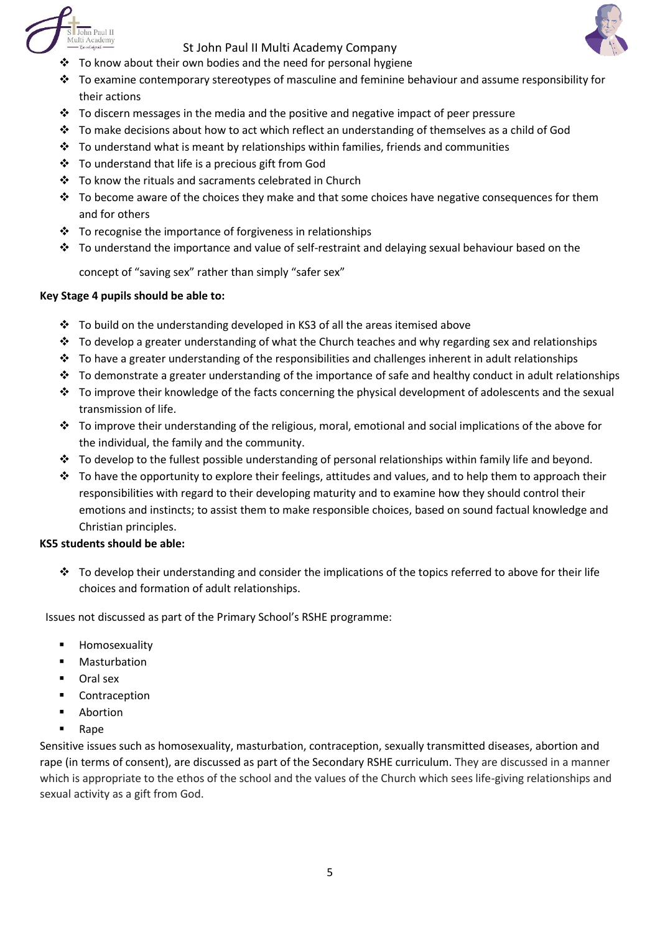



- $\cdot \cdot$  To know about their own bodies and the need for personal hygiene
- $\cdot \cdot$  To examine contemporary stereotypes of masculine and feminine behaviour and assume responsibility for their actions
- $\cdot \cdot$  To discern messages in the media and the positive and negative impact of peer pressure
- $\cdot \cdot$  To make decisions about how to act which reflect an understanding of themselves as a child of God
- $\cdot \cdot$  To understand what is meant by relationships within families, friends and communities
- To understand that life is a precious gift from God
- To know the rituals and sacraments celebrated in Church
- $\cdot \cdot$  To become aware of the choices they make and that some choices have negative consequences for them and for others
- \* To recognise the importance of forgiveness in relationships
- $\cdot \cdot$  To understand the importance and value of self-restraint and delaying sexual behaviour based on the

concept of "saving sex" rather than simply "safer sex"

#### **Key Stage 4 pupils should be able to:**

- $\div$  To build on the understanding developed in KS3 of all the areas itemised above
- $\cdot \cdot$  To develop a greater understanding of what the Church teaches and why regarding sex and relationships
- $\cdot \cdot$  To have a greater understanding of the responsibilities and challenges inherent in adult relationships
- $\cdot \cdot$  To demonstrate a greater understanding of the importance of safe and healthy conduct in adult relationships
- $\cdot \cdot$  To improve their knowledge of the facts concerning the physical development of adolescents and the sexual transmission of life.
- $\cdot \cdot$  To improve their understanding of the religious, moral, emotional and social implications of the above for the individual, the family and the community.
- $\cdot \cdot$  To develop to the fullest possible understanding of personal relationships within family life and beyond.
- \* To have the opportunity to explore their feelings, attitudes and values, and to help them to approach their responsibilities with regard to their developing maturity and to examine how they should control their emotions and instincts; to assist them to make responsible choices, based on sound factual knowledge and Christian principles.

#### **KS5 students should be able:**

 $\cdot \cdot$  To develop their understanding and consider the implications of the topics referred to above for their life choices and formation of adult relationships.

Issues not discussed as part of the Primary School's RSHE programme:

- Homosexuality
- Masturbation
- Oral sex
- Contraception
- **-** Abortion
- Rape

Sensitive issues such as homosexuality, masturbation, contraception, sexually transmitted diseases, abortion and rape (in terms of consent), are discussed as part of the Secondary RSHE curriculum. They are discussed in a manner which is appropriate to the ethos of the school and the values of the Church which sees life-giving relationships and sexual activity as a gift from God.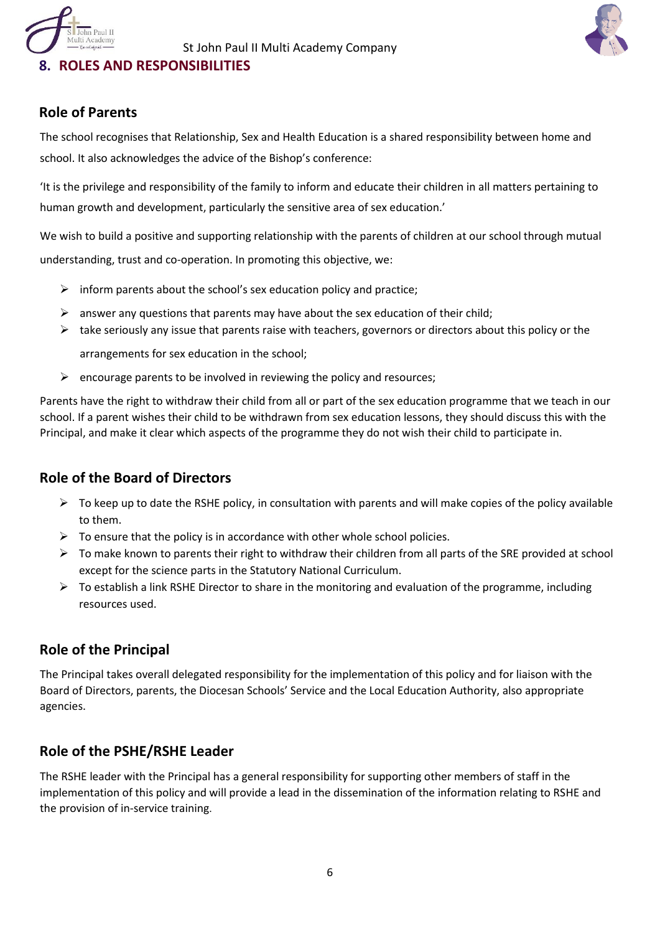# **8. ROLES AND RESPONSIBILITIES**



# **Role of Parents**

n Paul II

The school recognises that Relationship, Sex and Health Education is a shared responsibility between home and school. It also acknowledges the advice of the Bishop's conference:

'It is the privilege and responsibility of the family to inform and educate their children in all matters pertaining to human growth and development, particularly the sensitive area of sex education.'

We wish to build a positive and supporting relationship with the parents of children at our school through mutual understanding, trust and co-operation. In promoting this objective, we:

- $\triangleright$  inform parents about the school's sex education policy and practice;
- $\triangleright$  answer any questions that parents may have about the sex education of their child;
- $\triangleright$  take seriously any issue that parents raise with teachers, governors or directors about this policy or the arrangements for sex education in the school;
- $\triangleright$  encourage parents to be involved in reviewing the policy and resources;

Parents have the right to withdraw their child from all or part of the sex education programme that we teach in our school. If a parent wishes their child to be withdrawn from sex education lessons, they should discuss this with the Principal, and make it clear which aspects of the programme they do not wish their child to participate in.

# **Role of the Board of Directors**

- $\triangleright$  To keep up to date the RSHE policy, in consultation with parents and will make copies of the policy available to them.
- $\triangleright$  To ensure that the policy is in accordance with other whole school policies.
- $\triangleright$  To make known to parents their right to withdraw their children from all parts of the SRE provided at school except for the science parts in the Statutory National Curriculum.
- $\triangleright$  To establish a link RSHE Director to share in the monitoring and evaluation of the programme, including resources used.

# **Role of the Principal**

The Principal takes overall delegated responsibility for the implementation of this policy and for liaison with the Board of Directors, parents, the Diocesan Schools' Service and the Local Education Authority, also appropriate agencies.

# **Role of the PSHE/RSHE Leader**

The RSHE leader with the Principal has a general responsibility for supporting other members of staff in the implementation of this policy and will provide a lead in the dissemination of the information relating to RSHE and the provision of in-service training.